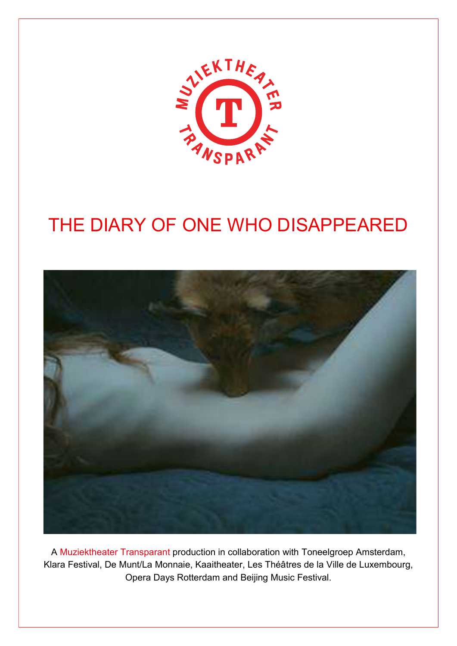

# THE DIARY OF ONE WHO DISAPPEARED



A Muziektheater Transparant production in collaboration with Toneelgroep Amsterdam, Klara Festival, De Munt/La Monnaie, Kaaitheater, Les Théâtres de la Ville de Luxembourg, Opera Days Rotterdam and Beijing Music Festival.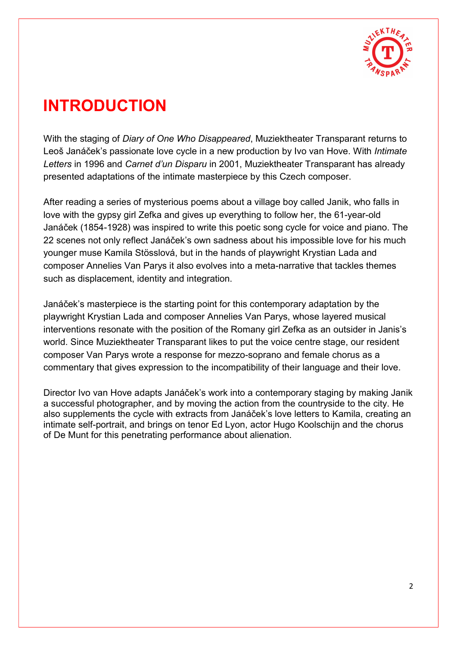

## INTRODUCTION

With the staging of *Diary of One Who Disappeared*, Muziektheater Transparant returns to Leoš Janáček's passionate love cycle in a new production by Ivo van Hove. With *Intimate* Letters in 1996 and Carnet d'un Disparu in 2001, Muziektheater Transparant has already presented adaptations of the intimate masterpiece by this Czech composer.

After reading a series of mysterious poems about a village boy called Janik, who falls in love with the gypsy girl Zefka and gives up everything to follow her, the 61-year-old Janáček (1854-1928) was inspired to write this poetic song cycle for voice and piano. The 22 scenes not only reflect Janáček's own sadness about his impossible love for his much younger muse Kamila Stösslová, but in the hands of playwright Krystian Lada and composer Annelies Van Parys it also evolves into a meta-narrative that tackles themes such as displacement, identity and integration.

Janáček's masterpiece is the starting point for this contemporary adaptation by the playwright Krystian Lada and composer Annelies Van Parys, whose layered musical interventions resonate with the position of the Romany girl Zefka as an outsider in Janis's world. Since Muziektheater Transparant likes to put the voice centre stage, our resident composer Van Parys wrote a response for mezzo-soprano and female chorus as a commentary that gives expression to the incompatibility of their language and their love.

Director Ivo van Hove adapts Janáček's work into a contemporary staging by making Janik a successful photographer, and by moving the action from the countryside to the city. He also supplements the cycle with extracts from Janáček's love letters to Kamila, creating an intimate self-portrait, and brings on tenor Ed Lyon, actor Hugo Koolschijn and the chorus of De Munt for this penetrating performance about alienation.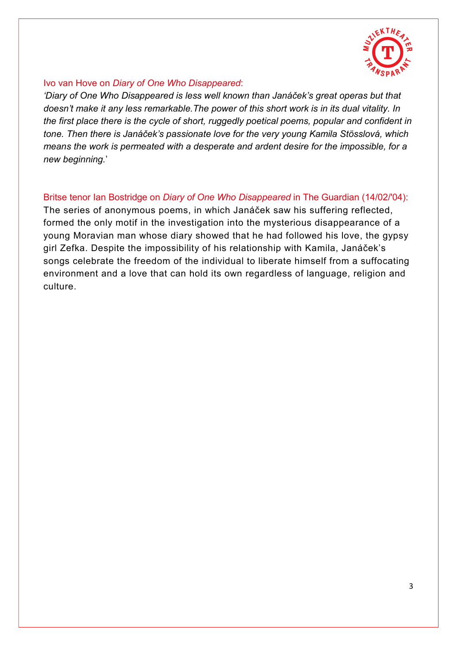

#### l. Ivo van Hove on Diary of One Who Disappeared:

'Diary of One Who Disappeared is less well known than Janáček's great operas but that doesn't make it any less remarkable.The power of this short work is in its dual vitality. In the first place there is the cycle of short, ruggedly poetical poems, popular and confident in tone. Then there is Janáček's passionate love for the very young Kamila Stösslová, which means the work is permeated with a desperate and ardent desire for the impossible, for a new beginning.'

#### Britse tenor Ian Bostridge on Diary of One Who Disappeared in The Guardian (14/02/'04):

The series of anonymous poems, in which Janáček saw his suffering reflected, formed the only motif in the investigation into the mysterious disappearance of a young Moravian man whose diary showed that he had followed his love, the gypsy girl Zefka. Despite the impossibility of his relationship with Kamila, Janáček's songs celebrate the freedom of the individual to liberate himself from a suffocating environment and a love that can hold its own regardless of language, religion and culture.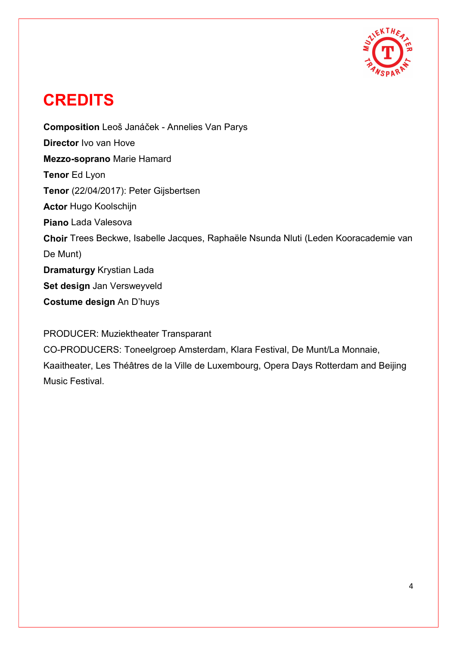

## **CREDITS**

Composition Leoš Janáček - Annelies Van Parys Director Ivo van Hove Mezzo-soprano Marie Hamard Tenor Ed Lyon Tenor (22/04/2017): Peter Gijsbertsen Actor Hugo Koolschijn Piano Lada Valesova Choir Trees Beckwe, Isabelle Jacques, Raphaële Nsunda Nluti (Leden Kooracademie van De Munt) Dramaturgy Krystian Lada Set design Jan Versweyveld Costume design An D'huys

PRODUCER: Muziektheater Transparant

CO-PRODUCERS: Toneelgroep Amsterdam, Klara Festival, De Munt/La Monnaie, Kaaitheater, Les Théâtres de la Ville de Luxembourg, Opera Days Rotterdam and Beijing Music Festival.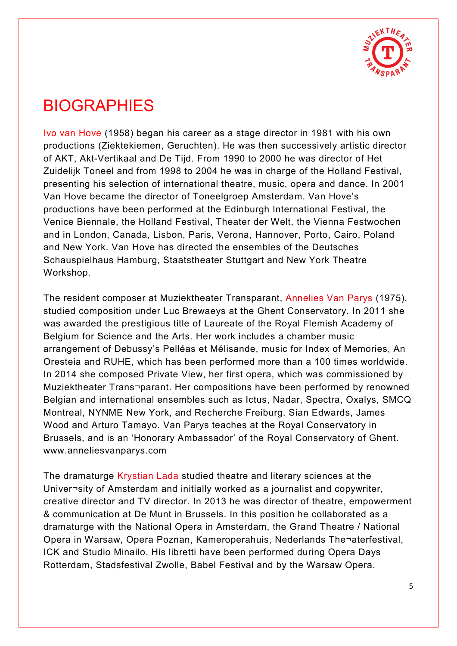

### **BIOGRAPHIES**

Ivo van Hove (1958) began his career as a stage director in 1981 with his own productions (Ziektekiemen, Geruchten). He was then successively artistic director of AKT, Akt-Vertikaal and De Tijd. From 1990 to 2000 he was director of Het Zuidelijk Toneel and from 1998 to 2004 he was in charge of the Holland Festival, presenting his selection of international theatre, music, opera and dance. In 2001 Van Hove became the director of Toneelgroep Amsterdam. Van Hove's productions have been performed at the Edinburgh International Festival, the Venice Biennale, the Holland Festival, Theater der Welt, the Vienna Festwochen and in London, Canada, Lisbon, Paris, Verona, Hannover, Porto, Cairo, Poland and New York. Van Hove has directed the ensembles of the Deutsches Schauspielhaus Hamburg, Staatstheater Stuttgart and New York Theatre Workshop.

The resident composer at Muziektheater Transparant, Annelies Van Parys (1975), studied composition under Luc Brewaeys at the Ghent Conservatory. In 2011 she was awarded the prestigious title of Laureate of the Royal Flemish Academy of Belgium for Science and the Arts. Her work includes a chamber music arrangement of Debussy's Pelléas et Mélisande, music for Index of Memories, An Oresteia and RUHE, which has been performed more than a 100 times worldwide. In 2014 she composed Private View, her first opera, which was commissioned by Muziektheater Trans¬parant. Her compositions have been performed by renowned Belgian and international ensembles such as Ictus, Nadar, Spectra, Oxalys, SMCQ Montreal, NYNME New York, and Recherche Freiburg. Sian Edwards, James Wood and Arturo Tamayo. Van Parys teaches at the Royal Conservatory in Brussels, and is an 'Honorary Ambassador' of the Royal Conservatory of Ghent. www.anneliesvanparys.com

The dramaturge Krystian Lada studied theatre and literary sciences at the Univer¬sity of Amsterdam and initially worked as a journalist and copywriter, creative director and TV director. In 2013 he was director of theatre, empowerment & communication at De Munt in Brussels. In this position he collaborated as a dramaturge with the National Opera in Amsterdam, the Grand Theatre / National Opera in Warsaw, Opera Poznan, Kameroperahuis, Nederlands The¬aterfestival, ICK and Studio Minailo. His libretti have been performed during Opera Days Rotterdam, Stadsfestival Zwolle, Babel Festival and by the Warsaw Opera.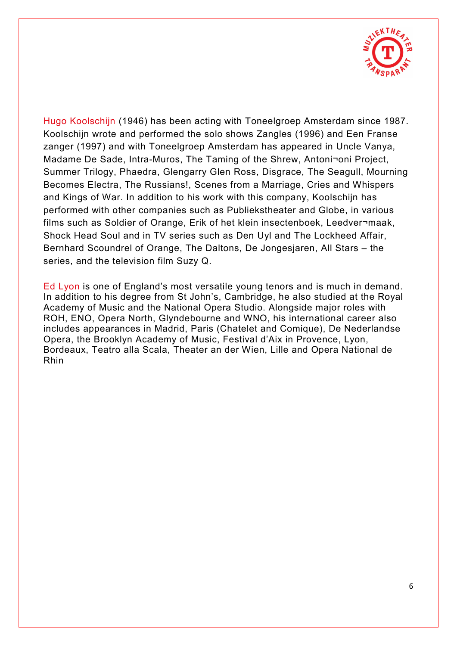

Hugo Koolschijn (1946) has been acting with Toneelgroep Amsterdam since 1987. Koolschijn wrote and performed the solo shows Zangles (1996) and Een Franse zanger (1997) and with Toneelgroep Amsterdam has appeared in Uncle Vanya, Madame De Sade, Intra-Muros, The Taming of the Shrew, Antoni¬oni Project, Summer Trilogy, Phaedra, Glengarry Glen Ross, Disgrace, The Seagull, Mourning Becomes Electra, The Russians!, Scenes from a Marriage, Cries and Whispers and Kings of War. In addition to his work with this company, Koolschijn has performed with other companies such as Publiekstheater and Globe, in various films such as Soldier of Orange, Erik of het klein insectenboek, Leedver¬maak, Shock Head Soul and in TV series such as Den Uyl and The Lockheed Affair, Bernhard Scoundrel of Orange, The Daltons, De Jongesjaren, All Stars – the series, and the television film Suzy Q.

Ed Lyon is one of England's most versatile young tenors and is much in demand. In addition to his degree from St John's, Cambridge, he also studied at the Royal Academy of Music and the National Opera Studio. Alongside major roles with ROH, ENO, Opera North, Glyndebourne and WNO, his international career also includes appearances in Madrid, Paris (Chatelet and Comique), De Nederlandse Opera, the Brooklyn Academy of Music, Festival d'Aix in Provence, Lyon, Bordeaux, Teatro alla Scala, Theater an der Wien, Lille and Opera National de Rhin